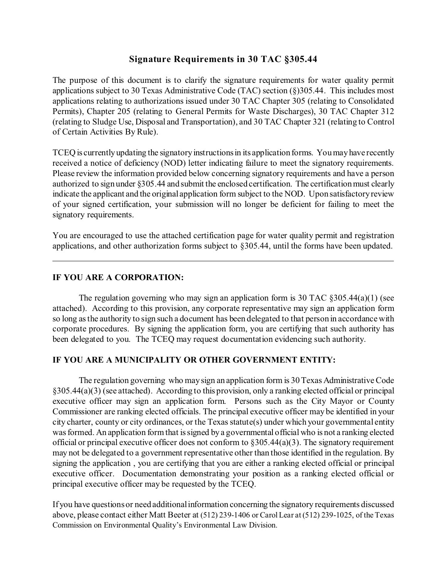# **Signature Requirements in 30 TAC §305.44**

The purpose of this document is to clarify the signature requirements for water quality permit applications subject to 30 Texas Administrative Code (TAC) section (§)305.44. This includes most applications relating to authorizations issued under 30 TAC Chapter 305 (relating to Consolidated Permits), Chapter 205 (relating to General Permits for Waste Discharges), 30 TAC Chapter 312 (relating to Sludge Use, Disposal and Transportation), and 30 TAC Chapter 321 (relating to Control of Certain Activities By Rule).

TCEQ is currently updating the signatory instructions in its application forms. You may have recently received a notice of deficiency (NOD) letter indicating failure to meet the signatory requirements. Please review the information provided below concerning signatory requirements and have a person authorized to sign under §305.44 and submit the enclosed certification. The certification must clearly indicate the applicant and the original application form subject to the NOD. Upon satisfactory review of your signed certification, your submission will no longer be deficient for failing to meet the signatory requirements.

You are encouraged to use the attached certification page for water quality permit and registration applications, and other authorization forms subject to §305.44, until the forms have been updated.

## **IF YOU ARE A CORPORATION:**

The regulation governing who may sign an application form is 30 TAC  $\&305.44(a)(1)$  (see attached). According to this provision, any corporate representative may sign an application form so long as the authority to sign such a document has been delegated to that person in accordance with corporate procedures. By signing the application form, you are certifying that such authority has been delegated to you. The TCEQ may request documentation evidencing such authority.

#### **IF YOU ARE A MUNICIPALITY OR OTHER GOVERNMENT ENTITY:**

The regulation governing who may sign an application form is 30 Texas Administrative Code §305.44(a)(3) (see attached). According to this provision, only a ranking elected official or principal executive officer may sign an application form. Persons such as the City Mayor or County Commissioner are ranking elected officials. The principal executive officer may be identified in your city charter, county or city ordinances, or the Texas statute(s) under which your governmental entity was formed. An application form that is signed by a governmental official who is not a ranking elected official or principal executive officer does not conform to  $\S 305.44(a)(3)$ . The signatory requirement may not be delegated to a government representative other than those identified in the regulation. By signing the application , you are certifying that you are either a ranking elected official or principal executive officer. Documentation demonstrating your position as a ranking elected official or principal executive officer may be requested by the TCEQ.

If you have questions or need additional information concerning the signatory requirements discussed above, please contact either Matt Beeter at (512) 239-1406 or Carol Lear at (512) 239-1025, of the Texas Commission on Environmental Quality's Environmental Law Division.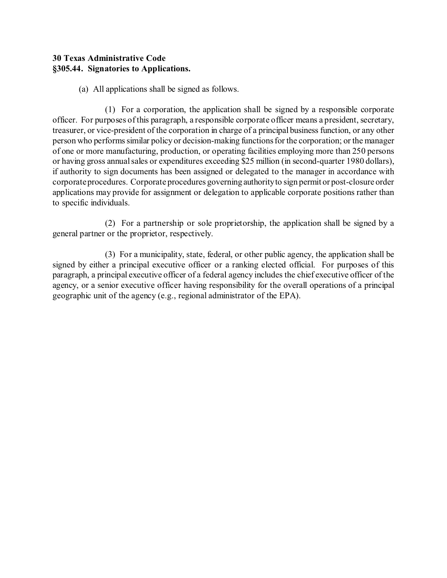# **30 Texas Administrative Code §305.44. Signatories to Applications.**

(a) All applications shall be signed as follows.

(1) For a corporation, the application shall be signed by a responsible corporate officer. For purposes of this paragraph, a responsible corporate officer means a president, secretary, treasurer, or vice-president of the corporation in charge of a principal business function, or any other person who performs similar policy or decision-making functions for the corporation; or the manager of one or more manufacturing, production, or operating facilities employing more than 250 persons or having gross annual sales or expenditures exceeding \$25 million (in second-quarter 1980 dollars), if authority to sign documents has been assigned or delegated to the manager in accordance with corporate procedures. Corporate procedures governing authority to sign permit or post-closure order applications may provide for assignment or delegation to applicable corporate positions rather than to specific individuals.

(2) For a partnership or sole proprietorship, the application shall be signed by a general partner or the proprietor, respectively.

(3) For a municipality, state, federal, or other public agency, the application shall be signed by either a principal executive officer or a ranking elected official. For purposes of this paragraph, a principal executive officer of a federal agency includes the chief executive officer of the agency, or a senior executive officer having responsibility for the overall operations of a principal geographic unit of the agency (e.g., regional administrator of the EPA).